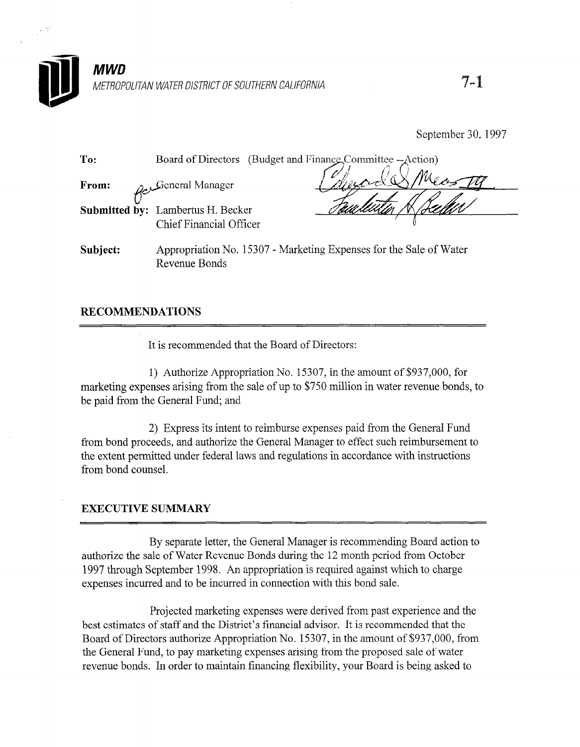

September 30, 1997

| To:   |                                                                     | Board of Directors (Budget and Finance Committee -- Action) |
|-------|---------------------------------------------------------------------|-------------------------------------------------------------|
| From: | General Manager                                                     |                                                             |
|       | <b>Submitted by:</b> Lambertus H. Becker<br>Chief Financial Officer |                                                             |
|       |                                                                     |                                                             |

Subject: Appropriation No. 15307 - Marketing Expenses for the Sale of Water Revenue Bonds

## RECOMMENDATIONS

It is recommended that the Board of Directors:

1) Authorize Appropriation No. 15307, in the amount of \$937,000, for  $\frac{1}{2}$  arising the superpropriation i.e.,  $\frac{1}{2}50$  m the sale of  $\frac{1}{2}50$ , to  $\frac{1}{2}$  $\frac{1}{2}$  from the General Fund; and  $\frac{1}{2}$ 

2) Express its intent to reimburse expenses paid from the General Fund  $f(x)$  express its much to reimburse expenses para from the General T and from bond proceeds, and authorize the General Manager to effect such reimbursement to the extent permitted under federal laws and regulations in accordance with instructions from bond counsel.

By separate letter, the General Manager is recommending Board action to authorize the sale of Water Revenue Bonds during the 12 month period from October 1997 through September 1998. An appropriation is required against which to charge expenses incurred and to be incurred in connection with this bond sale.

Projected marketing expenses were derived from past experience and the best estimates of staff and the District's financial advisor. It is recommended that the Board of Directors authorize Appropriation No. 15307, in the amount of \$937,000, from the General Fund, to pay marketing expenses arising from the proposed sale of water revenue bonds. In order to maintain financing flexibility, your Board is being asked to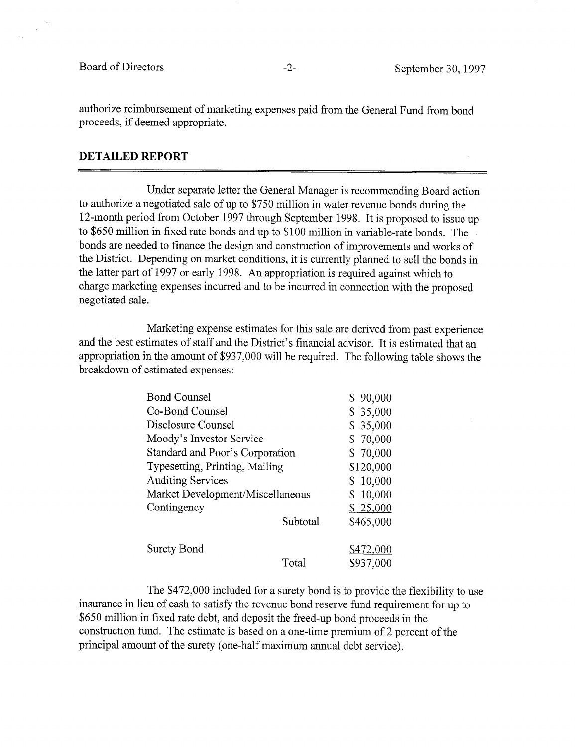$\bar{z}$ 

authorize reimbursement of marketing expenses paid from the General Fund from bond proceeds, if deemed appropriate.

## DETAILED REPORT

Under separate letter the General Manager is recommending Board action to authorize a negotiated sale of up to \$750 million in water revenue bonds during the 12-month period from October 1997 through September 1998. It is proposed to issue up to \$650 million in fixed rate bonds and up to \$100 million in variable-rate bonds. The bonds are needed to finance the design and construction of improvements and works of the District. Depending on market conditions, it is currently planned to sell the bonds in the latter part of 1997 or early 1998. An appropriation is required against which to charge marketing expenses incurred and to be incurred in connection with the proposed negotiated sale.

Marketing expense estimates for this sale are derived from past experience and the best estimates of staff and the District's financial advisor. It is estimated that an appropriation in the amount of \$937,000 will be required. The following table shows the breakdown of estimated expenses:

| <b>Bond Counsel</b>              |           | \$90,000  |
|----------------------------------|-----------|-----------|
| Co-Bond Counsel                  |           | \$35,000  |
| Disclosure Counsel               |           | \$35,000  |
| Moody's Investor Service         |           | \$70,000  |
| Standard and Poor's Corporation  |           | \$70,000  |
| Typesetting, Printing, Mailing   | \$120,000 |           |
| <b>Auditing Services</b>         |           | \$10,000  |
| Market Development/Miscellaneous |           | \$10,000  |
| Contingency                      |           | \$25,000  |
|                                  | Subtotal  | \$465,000 |
| Surety Bond                      |           | \$472,000 |
|                                  | Total     | \$937,000 |

The \$472,000 included for a surety bond is to provide the flexibility to use insurance in lieu of cash to satisfy the revenue bond reserve fund requirement for up to \$650 million in fixed rate debt, and deposit the freed-up bond proceeds in the construction fund. The estimate is based on a one-time premium of 2 percent of the principal amount of the surety (one-half maximum annual debt service).